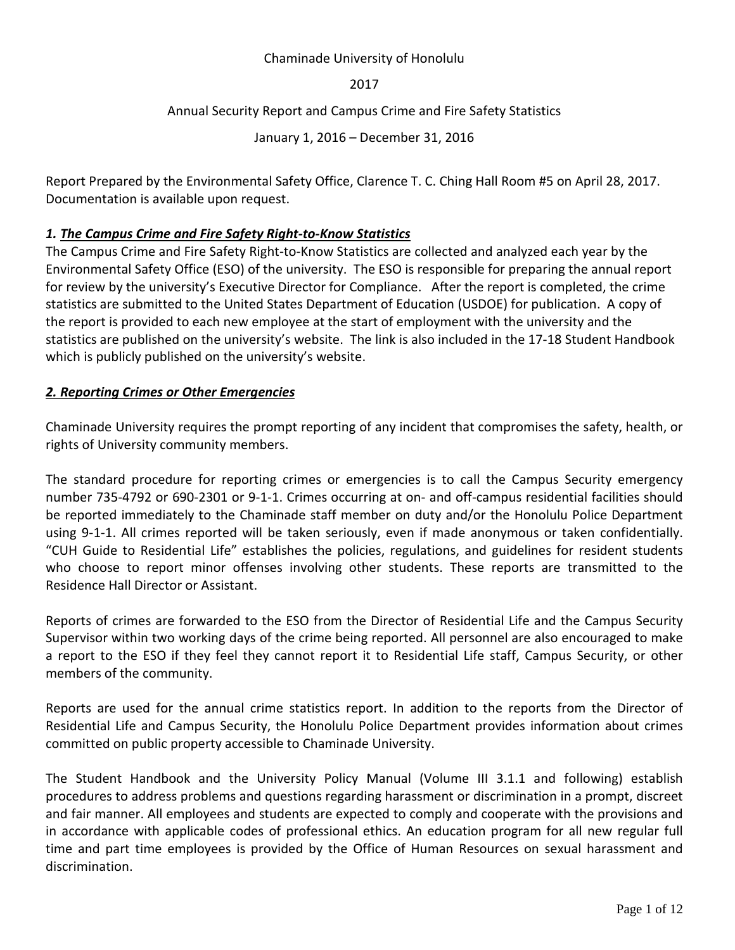#### Chaminade University of Honolulu

2017

## Annual Security Report and Campus Crime and Fire Safety Statistics

January 1, 2016 – December 31, 2016

Report Prepared by the Environmental Safety Office, Clarence T. C. Ching Hall Room #5 on April 28, 2017. Documentation is available upon request.

## *1. The Campus Crime and Fire Safety Right-to-Know Statistics*

The Campus Crime and Fire Safety Right-to-Know Statistics are collected and analyzed each year by the Environmental Safety Office (ESO) of the university. The ESO is responsible for preparing the annual report for review by the university's Executive Director for Compliance. After the report is completed, the crime statistics are submitted to the United States Department of Education (USDOE) for publication. A copy of the report is provided to each new employee at the start of employment with the university and the statistics are published on the university's website. The link is also included in the 17-18 Student Handbook which is publicly published on the university's website.

## *2. Reporting Crimes or Other Emergencies*

Chaminade University requires the prompt reporting of any incident that compromises the safety, health, or rights of University community members.

The standard procedure for reporting crimes or emergencies is to call the Campus Security emergency number 735-4792 or 690-2301 or 9-1-1. Crimes occurring at on- and off-campus residential facilities should be reported immediately to the Chaminade staff member on duty and/or the Honolulu Police Department using 9-1-1. All crimes reported will be taken seriously, even if made anonymous or taken confidentially. "CUH Guide to Residential Life" establishes the policies, regulations, and guidelines for resident students who choose to report minor offenses involving other students. These reports are transmitted to the Residence Hall Director or Assistant.

Reports of crimes are forwarded to the ESO from the Director of Residential Life and the Campus Security Supervisor within two working days of the crime being reported. All personnel are also encouraged to make a report to the ESO if they feel they cannot report it to Residential Life staff, Campus Security, or other members of the community.

Reports are used for the annual crime statistics report. In addition to the reports from the Director of Residential Life and Campus Security, the Honolulu Police Department provides information about crimes committed on public property accessible to Chaminade University.

The Student Handbook and the University Policy Manual (Volume III 3.1.1 and following) establish procedures to address problems and questions regarding harassment or discrimination in a prompt, discreet and fair manner. All employees and students are expected to comply and cooperate with the provisions and in accordance with applicable codes of professional ethics. An education program for all new regular full time and part time employees is provided by the Office of Human Resources on sexual harassment and discrimination.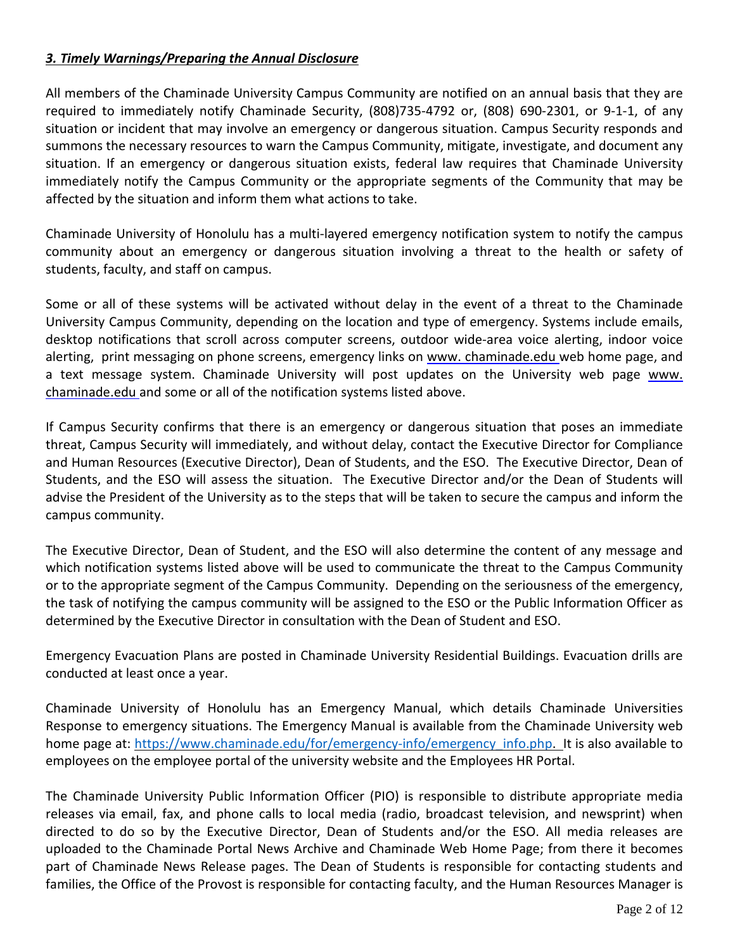# *3. Timely Warnings/Preparing the Annual Disclosure*

All members of the Chaminade University Campus Community are notified on an annual basis that they are required to immediately notify Chaminade Security, (808)735-4792 or, (808) 690-2301, or 9-1-1, of any situation or incident that may involve an emergency or dangerous situation. Campus Security responds and summons the necessary resources to warn the Campus Community, mitigate, investigate, and document any situation. If an emergency or dangerous situation exists, federal law requires that Chaminade University immediately notify the Campus Community or the appropriate segments of the Community that may be affected by the situation and inform them what actions to take.

Chaminade University of Honolulu has a multi-layered emergency notification system to notify the campus community about an emergency or dangerous situation involving a threat to the health or safety of students, faculty, and staff on campus.

Some or all of these systems will be activated without delay in the event of a threat to the Chaminade University Campus Community, depending on the location and type of emergency. Systems include emails, desktop notifications that scroll across computer screens, outdoor wide-area voice alerting, indoor voice alerting, print messaging on phone screens, emergency links on [www. chaminade.edu w](http://www.chaminade.edu/)eb home page, and a text message system. Chaminade University will post updates on the University web page [www.](http://www.chaminade.edu/)  [chaminade.edu a](http://www.chaminade.edu/)nd some or all of the notification systems listed above.

If Campus Security confirms that there is an emergency or dangerous situation that poses an immediate threat, Campus Security will immediately, and without delay, contact the Executive Director for Compliance and Human Resources (Executive Director), Dean of Students, and the ESO. The Executive Director, Dean of Students, and the ESO will assess the situation. The Executive Director and/or the Dean of Students will advise the President of the University as to the steps that will be taken to secure the campus and inform the campus community.

The Executive Director, Dean of Student, and the ESO will also determine the content of any message and which notification systems listed above will be used to communicate the threat to the Campus Community or to the appropriate segment of the Campus Community. Depending on the seriousness of the emergency, the task of notifying the campus community will be assigned to the ESO or the Public Information Officer as determined by the Executive Director in consultation with the Dean of Student and ESO.

Emergency Evacuation Plans are posted in Chaminade University Residential Buildings. Evacuation drills are conducted at least once a year.

Chaminade University of Honolulu has an Emergency Manual, which details Chaminade Universities Response to emergency situations. The Emergency Manual is available from the Chaminade University web home page at: [https://www.chaminade.edu/for/emergency-info/emergency\\_info.php.](https://www.chaminade.edu/for/emergency-info/emergency_info.php) It is also available to employees on the employee portal of the university website and the Employees HR Portal.

The Chaminade University Public Information Officer (PIO) is responsible to distribute appropriate media releases via email, fax, and phone calls to local media (radio, broadcast television, and newsprint) when directed to do so by the Executive Director, Dean of Students and/or the ESO. All media releases are uploaded to the Chaminade Portal News Archive and Chaminade Web Home Page; from there it becomes part of Chaminade News Release pages. The Dean of Students is responsible for contacting students and families, the Office of the Provost is responsible for contacting faculty, and the Human Resources Manager is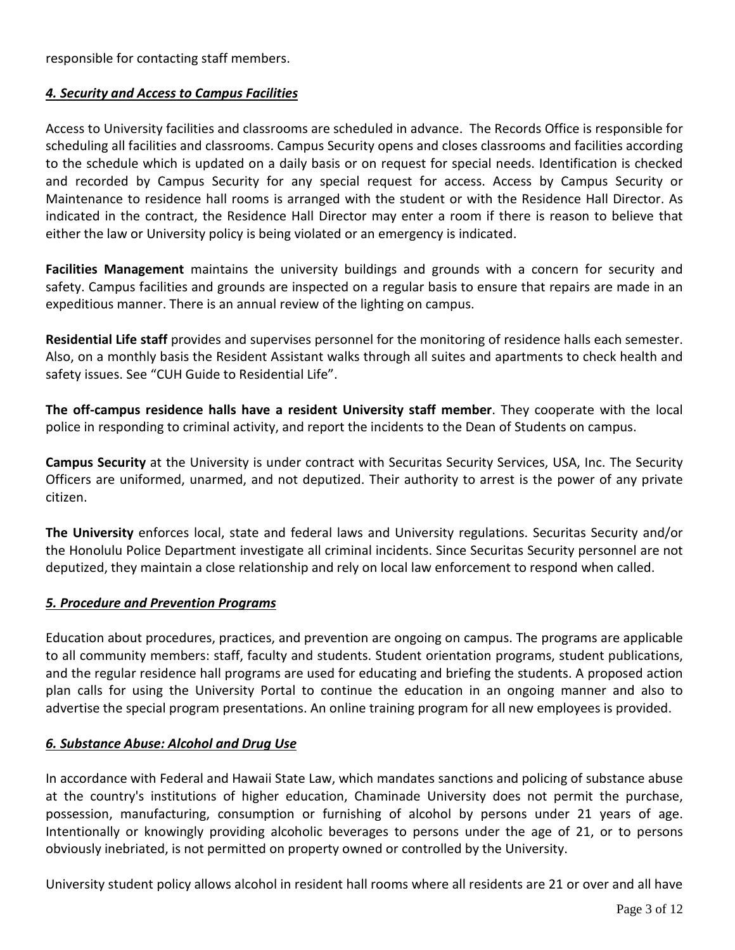responsible for contacting staff members.

## *4. Security and Access to Campus Facilities*

Access to University facilities and classrooms are scheduled in advance. The Records Office is responsible for scheduling all facilities and classrooms. Campus Security opens and closes classrooms and facilities according to the schedule which is updated on a daily basis or on request for special needs. Identification is checked and recorded by Campus Security for any special request for access. Access by Campus Security or Maintenance to residence hall rooms is arranged with the student or with the Residence Hall Director. As indicated in the contract, the Residence Hall Director may enter a room if there is reason to believe that either the law or University policy is being violated or an emergency is indicated.

**Facilities Management** maintains the university buildings and grounds with a concern for security and safety. Campus facilities and grounds are inspected on a regular basis to ensure that repairs are made in an expeditious manner. There is an annual review of the lighting on campus.

**Residential Life staff** provides and supervises personnel for the monitoring of residence halls each semester. Also, on a monthly basis the Resident Assistant walks through all suites and apartments to check health and safety issues. See "CUH Guide to Residential Life".

**The off-campus residence halls have a resident University staff member**. They cooperate with the local police in responding to criminal activity, and report the incidents to the Dean of Students on campus.

**Campus Security** at the University is under contract with Securitas Security Services, USA, Inc. The Security Officers are uniformed, unarmed, and not deputized. Their authority to arrest is the power of any private citizen.

**The University** enforces local, state and federal laws and University regulations. Securitas Security and/or the Honolulu Police Department investigate all criminal incidents. Since Securitas Security personnel are not deputized, they maintain a close relationship and rely on local law enforcement to respond when called.

#### *5. Procedure and Prevention Programs*

Education about procedures, practices, and prevention are ongoing on campus. The programs are applicable to all community members: staff, faculty and students. Student orientation programs, student publications, and the regular residence hall programs are used for educating and briefing the students. A proposed action plan calls for using the University Portal to continue the education in an ongoing manner and also to advertise the special program presentations. An online training program for all new employees is provided.

# *6. Substance Abuse: Alcohol and Drug Use*

In accordance with Federal and Hawaii State Law, which mandates sanctions and policing of substance abuse at the country's institutions of higher education, Chaminade University does not permit the purchase, possession, manufacturing, consumption or furnishing of alcohol by persons under 21 years of age. Intentionally or knowingly providing alcoholic beverages to persons under the age of 21, or to persons obviously inebriated, is not permitted on property owned or controlled by the University.

University student policy allows alcohol in resident hall rooms where all residents are 21 or over and all have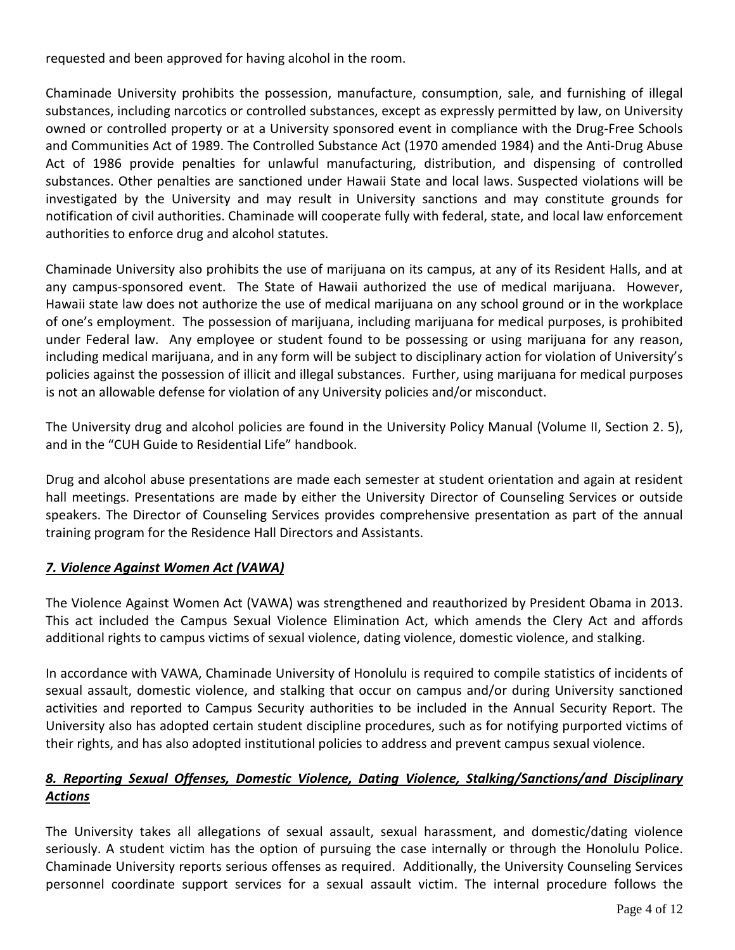requested and been approved for having alcohol in the room.

Chaminade University prohibits the possession, manufacture, consumption, sale, and furnishing of illegal substances, including narcotics or controlled substances, except as expressly permitted by law, on University owned or controlled property or at a University sponsored event in compliance with the Drug-Free Schools and Communities Act of 1989. The Controlled Substance Act (1970 amended 1984) and the Anti-Drug Abuse Act of 1986 provide penalties for unlawful manufacturing, distribution, and dispensing of controlled substances. Other penalties are sanctioned under Hawaii State and local laws. Suspected violations will be investigated by the University and may result in University sanctions and may constitute grounds for notification of civil authorities. Chaminade will cooperate fully with federal, state, and local law enforcement authorities to enforce drug and alcohol statutes.

Chaminade University also prohibits the use of marijuana on its campus, at any of its Resident Halls, and at any campus-sponsored event. The State of Hawaii authorized the use of medical marijuana. However, Hawaii state law does not authorize the use of medical marijuana on any school ground or in the workplace of one's employment. The possession of marijuana, including marijuana for medical purposes, is prohibited under Federal law. Any employee or student found to be possessing or using marijuana for any reason, including medical marijuana, and in any form will be subject to disciplinary action for violation of University's policies against the possession of illicit and illegal substances. Further, using marijuana for medical purposes is not an allowable defense for violation of any University policies and/or misconduct.

The University drug and alcohol policies are found in the University Policy Manual (Volume II, Section 2. 5), and in the "CUH Guide to Residential Life" handbook.

Drug and alcohol abuse presentations are made each semester at student orientation and again at resident hall meetings. Presentations are made by either the University Director of Counseling Services or outside speakers. The Director of Counseling Services provides comprehensive presentation as part of the annual training program for the Residence Hall Directors and Assistants.

# *7. Violence Against Women Act (VAWA)*

The Violence Against Women Act (VAWA) was strengthened and reauthorized by President Obama in 2013. This act included the Campus Sexual Violence Elimination Act, which amends the Clery Act and affords additional rights to campus victims of sexual violence, dating violence, domestic violence, and stalking.

In accordance with VAWA, Chaminade University of Honolulu is required to compile statistics of incidents of sexual assault, domestic violence, and stalking that occur on campus and/or during University sanctioned activities and reported to Campus Security authorities to be included in the Annual Security Report. The University also has adopted certain student discipline procedures, such as for notifying purported victims of their rights, and has also adopted institutional policies to address and prevent campus sexual violence.

# *8. Reporting Sexual Offenses, Domestic Violence, Dating Violence, Stalking/Sanctions/and Disciplinary Actions*

The University takes all allegations of sexual assault, sexual harassment, and domestic/dating violence seriously. A student victim has the option of pursuing the case internally or through the Honolulu Police. Chaminade University reports serious offenses as required. Additionally, the University Counseling Services personnel coordinate support services for a sexual assault victim. The internal procedure follows the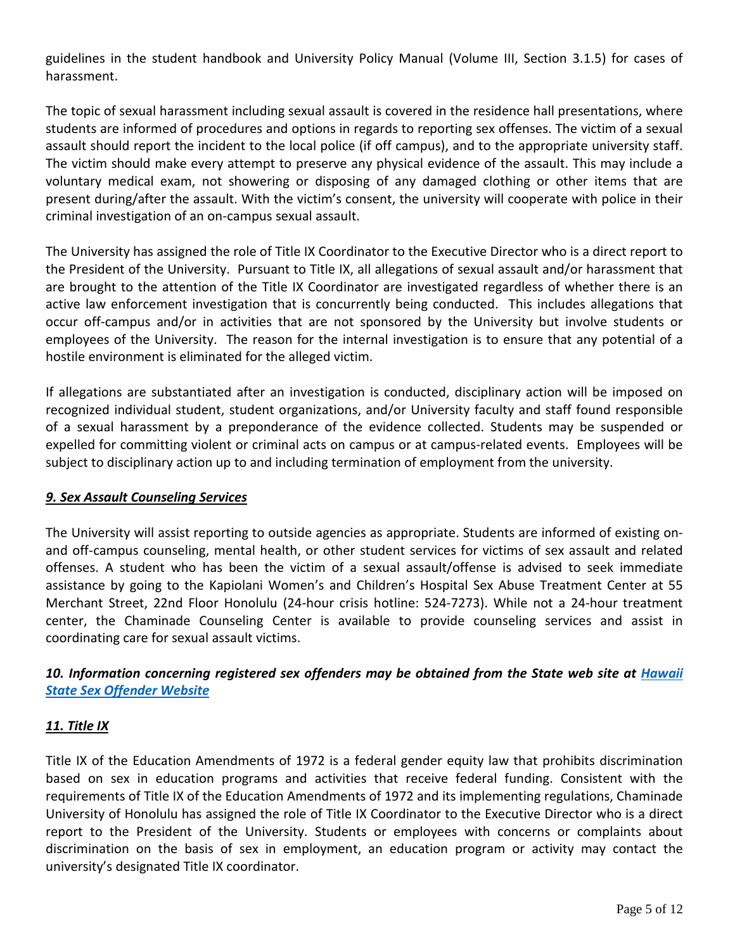guidelines in the student handbook and University Policy Manual (Volume III, Section 3.1.5) for cases of harassment.

The topic of sexual harassment including sexual assault is covered in the residence hall presentations, where students are informed of procedures and options in regards to reporting sex offenses. The victim of a sexual assault should report the incident to the local police (if off campus), and to the appropriate university staff. The victim should make every attempt to preserve any physical evidence of the assault. This may include a voluntary medical exam, not showering or disposing of any damaged clothing or other items that are present during/after the assault. With the victim's consent, the university will cooperate with police in their criminal investigation of an on-campus sexual assault.

The University has assigned the role of Title IX Coordinator to the Executive Director who is a direct report to the President of the University. Pursuant to Title IX, all allegations of sexual assault and/or harassment that are brought to the attention of the Title IX Coordinator are investigated regardless of whether there is an active law enforcement investigation that is concurrently being conducted. This includes allegations that occur off-campus and/or in activities that are not sponsored by the University but involve students or employees of the University. The reason for the internal investigation is to ensure that any potential of a hostile environment is eliminated for the alleged victim.

If allegations are substantiated after an investigation is conducted, disciplinary action will be imposed on recognized individual student, student organizations, and/or University faculty and staff found responsible of a sexual harassment by a preponderance of the evidence collected. Students may be suspended or expelled for committing violent or criminal acts on campus or at campus-related events. Employees will be subject to disciplinary action up to and including termination of employment from the university.

#### *9. Sex Assault Counseling Services*

The University will assist reporting to outside agencies as appropriate. Students are informed of existing onand off-campus counseling, mental health, or other student services for victims of sex assault and related offenses. A student who has been the victim of a sexual assault/offense is advised to seek immediate assistance by going to the Kapiolani Women's and Children's Hospital Sex Abuse Treatment Center at 55 Merchant Street, 22nd Floor Honolulu (24-hour crisis hotline: 524-7273). While not a 24-hour treatment center, the Chaminade Counseling Center is available to provide counseling services and assist in coordinating care for sexual assault victims.

# *10. Information concerning registered sex offenders may be obtained from the State web site at [Hawaii](http://sexoffenders.ehawaii.gov/sexoffender/welcome.html;jsessionid=66F9B5842ED9DCA3545B3DF5178136B4.lana)  [State Sex Offender Website](http://sexoffenders.ehawaii.gov/sexoffender/welcome.html;jsessionid=66F9B5842ED9DCA3545B3DF5178136B4.lana)*

#### *11. Title IX*

Title IX of the Education Amendments of 1972 is a federal gender equity law that prohibits discrimination based on sex in education programs and activities that receive federal funding. Consistent with the requirements of Title IX of the Education Amendments of 1972 and its implementing regulations, Chaminade University of Honolulu has assigned the role of Title IX Coordinator to the Executive Director who is a direct report to the President of the University. Students or employees with concerns or complaints about discrimination on the basis of sex in employment, an education program or activity may contact the university's designated Title IX coordinator.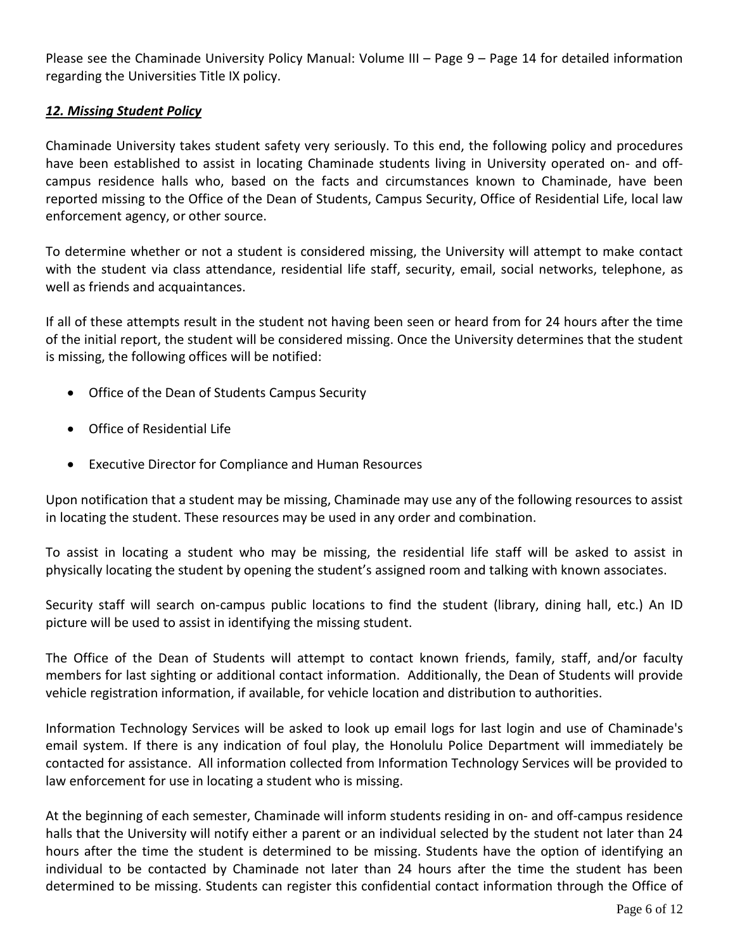Please see the Chaminade University Policy Manual: Volume III - Page 9 - Page 14 for detailed information regarding the Universities Title IX policy.

#### *12. Missing Student Policy*

Chaminade University takes student safety very seriously. To this end, the following policy and procedures have been established to assist in locating Chaminade students living in University operated on- and offcampus residence halls who, based on the facts and circumstances known to Chaminade, have been reported missing to the Office of the Dean of Students, Campus Security, Office of Residential Life, local law enforcement agency, or other source.

To determine whether or not a student is considered missing, the University will attempt to make contact with the student via class attendance, residential life staff, security, email, social networks, telephone, as well as friends and acquaintances.

If all of these attempts result in the student not having been seen or heard from for 24 hours after the time of the initial report, the student will be considered missing. Once the University determines that the student is missing, the following offices will be notified:

- Office of the Dean of Students Campus Security
- Office of Residential Life
- Executive Director for Compliance and Human Resources

Upon notification that a student may be missing, Chaminade may use any of the following resources to assist in locating the student. These resources may be used in any order and combination.

To assist in locating a student who may be missing, the residential life staff will be asked to assist in physically locating the student by opening the student's assigned room and talking with known associates.

Security staff will search on-campus public locations to find the student (library, dining hall, etc.) An ID picture will be used to assist in identifying the missing student.

The Office of the Dean of Students will attempt to contact known friends, family, staff, and/or faculty members for last sighting or additional contact information. Additionally, the Dean of Students will provide vehicle registration information, if available, for vehicle location and distribution to authorities.

Information Technology Services will be asked to look up email logs for last login and use of Chaminade's email system. If there is any indication of foul play, the Honolulu Police Department will immediately be contacted for assistance. All information collected from Information Technology Services will be provided to law enforcement for use in locating a student who is missing.

At the beginning of each semester, Chaminade will inform students residing in on- and off-campus residence halls that the University will notify either a parent or an individual selected by the student not later than 24 hours after the time the student is determined to be missing. Students have the option of identifying an individual to be contacted by Chaminade not later than 24 hours after the time the student has been determined to be missing. Students can register this confidential contact information through the Office of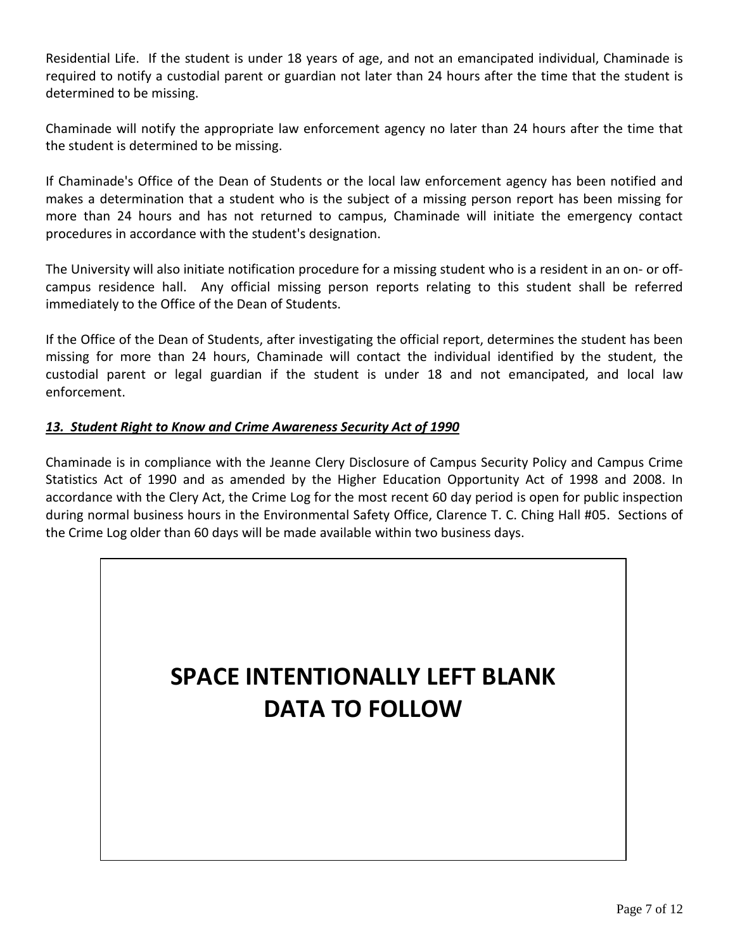Residential Life. If the student is under 18 years of age, and not an emancipated individual, Chaminade is required to notify a custodial parent or guardian not later than 24 hours after the time that the student is determined to be missing.

Chaminade will notify the appropriate law enforcement agency no later than 24 hours after the time that the student is determined to be missing.

If Chaminade's Office of the Dean of Students or the local law enforcement agency has been notified and makes a determination that a student who is the subject of a missing person report has been missing for more than 24 hours and has not returned to campus, Chaminade will initiate the emergency contact procedures in accordance with the student's designation.

The University will also initiate notification procedure for a missing student who is a resident in an on- or offcampus residence hall. Any official missing person reports relating to this student shall be referred immediately to the Office of the Dean of Students.

If the Office of the Dean of Students, after investigating the official report, determines the student has been missing for more than 24 hours, Chaminade will contact the individual identified by the student, the custodial parent or legal guardian if the student is under 18 and not emancipated, and local law enforcement.

# *13. Student Right to Know and Crime Awareness Security Act of 1990*

Chaminade is in compliance with the Jeanne Clery Disclosure of Campus Security Policy and Campus Crime Statistics Act of 1990 and as amended by the Higher Education Opportunity Act of 1998 and 2008. In accordance with the Clery Act, the Crime Log for the most recent 60 day period is open for public inspection during normal business hours in the Environmental Safety Office, Clarence T. C. Ching Hall #05. Sections of the Crime Log older than 60 days will be made available within two business days.

# **SPACE INTENTIONALLY LEFT BLANK DATA TO FOLLOW**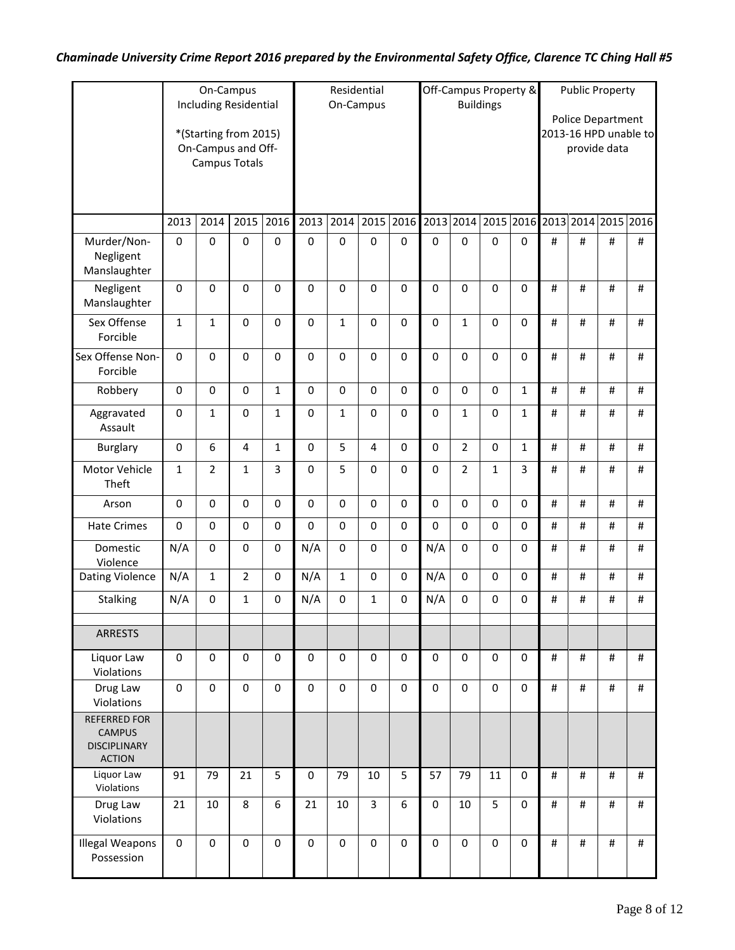# *Chaminade University Crime Report 2016 prepared by the Environmental Safety Office, Clarence TC Ching Hall #5*

|                                                                              |              | On-Campus<br><b>Including Residential</b>                           |                         |                  |             | Residential<br>On-Campus |                |             | Off-Campus Property &<br><b>Buildings</b> |                |             | <b>Public Property</b><br>Police Department |                |          |           |      |
|------------------------------------------------------------------------------|--------------|---------------------------------------------------------------------|-------------------------|------------------|-------------|--------------------------|----------------|-------------|-------------------------------------------|----------------|-------------|---------------------------------------------|----------------|----------|-----------|------|
|                                                                              |              | *(Starting from 2015)<br>On-Campus and Off-<br><b>Campus Totals</b> |                         |                  |             |                          |                |             |                                           |                |             | 2013-16 HPD unable to<br>provide data       |                |          |           |      |
|                                                                              | 2013         | 2014                                                                | 2015                    | 2016             | 2013        | 2014                     | 2015           | 2016        |                                           | 2013 2014      |             |                                             | 2015 2016 2013 | 2014     | 2015 2016 |      |
| Murder/Non-<br>Negligent<br>Manslaughter                                     | 0            | $\pmb{0}$                                                           | $\pmb{0}$               | $\pmb{0}$        | $\pmb{0}$   | $\pmb{0}$                | 0              | $\bf{0}$    | $\mathbf 0$                               | $\pmb{0}$      | 0           | $\mathbf 0$                                 | $\sharp$       | $\#$     | $\#$      | #    |
| Negligent<br>Manslaughter                                                    | $\mathbf 0$  | 0                                                                   | $\mathbf 0$             | $\mathbf 0$      | $\mathbf 0$ | $\mathbf 0$              | 0              | $\mathbf 0$ | $\mathbf 0$                               | $\mathbf 0$    | $\mathbf 0$ | $\mathbf 0$                                 | #              | #        | #         | #    |
| Sex Offense<br>Forcible                                                      | $\mathbf{1}$ | 1                                                                   | $\pmb{0}$               | $\boldsymbol{0}$ | $\mathbf 0$ | $\mathbf{1}$             | $\mathbf 0$    | $\mathbf 0$ | $\mathbf 0$                               | $\mathbf 1$    | 0           | $\mathbf 0$                                 | #              | #        | #         | #    |
| Sex Offense Non-<br>Forcible                                                 | $\mathbf 0$  | $\pmb{0}$                                                           | $\pmb{0}$               | $\pmb{0}$        | 0           | $\pmb{0}$                | 0              | $\pmb{0}$   | $\mathbf 0$                               | $\pmb{0}$      | $\pmb{0}$   | $\mathbf 0$                                 | #              | #        | #         | #    |
| Robbery                                                                      | 0            | 0                                                                   | 0                       | $\mathbf{1}$     | 0           | 0                        | $\Omega$       | $\mathbf 0$ | $\Omega$                                  | $\mathbf 0$    | 0           | $\mathbf{1}$                                | #              | $\sharp$ | #         | #    |
| Aggravated<br>Assault                                                        | $\pmb{0}$    | $\mathbf{1}$                                                        | $\pmb{0}$               | $\mathbf{1}$     | $\mathbf 0$ | 1                        | 0              | $\mathbf 0$ | $\mathbf 0$                               | $\mathbf 1$    | 0           | 1                                           | #              | $\sharp$ | $\#$      | #    |
| <b>Burglary</b>                                                              | $\mathbf 0$  | 6                                                                   | $\overline{\mathbf{4}}$ | $\mathbf{1}$     | $\mathbf 0$ | 5                        | $\overline{4}$ | $\mathbf 0$ | $\mathbf 0$                               | $\overline{2}$ | $\mathbf 0$ | $\mathbf{1}$                                | #              | #        | $\#$      | $\#$ |
| Motor Vehicle<br>Theft                                                       | $\mathbf{1}$ | $\overline{2}$                                                      | $\mathbf{1}$            | $\overline{3}$   | 0           | 5                        | 0              | $\mathbf 0$ | $\mathbf 0$                               | $\overline{2}$ | $\mathbf 1$ | 3                                           | #              | $\#$     | $\#$      | $\#$ |
| Arson                                                                        | $\mathbf 0$  | 0                                                                   | $\mathbf 0$             | $\mathbf 0$      | $\mathbf 0$ | $\mathbf 0$              | $\mathbf 0$    | $\mathbf 0$ | $\mathbf 0$                               | $\mathbf 0$    | 0           | 0                                           | #              | $\#$     | $\#$      | $\#$ |
| <b>Hate Crimes</b>                                                           | $\mathbf 0$  | 0                                                                   | 0                       | 0                | $\pmb{0}$   | $\mathbf 0$              | 0              | $\mathbf 0$ | $\Omega$                                  | $\mathbf 0$    | 0           | $\mathbf 0$                                 | #              | #        | $\#$      | #    |
| Domestic<br>Violence                                                         | N/A          | 0                                                                   | $\mathbf 0$             | 0                | N/A         | 0                        | 0              | $\mathbf 0$ | N/A                                       | $\mathbf 0$    | $\mathbf 0$ | $\mathbf 0$                                 | #              | $\#$     | $\#$      | #    |
| <b>Dating Violence</b>                                                       | N/A          | $\mathbf{1}$                                                        | $\overline{2}$          | 0                | N/A         | $\mathbf{1}$             | 0              | $\mathbf 0$ | N/A                                       | $\pmb{0}$      | $\mathbf 0$ | $\mathbf 0$                                 | #              | #        | $\#$      | #    |
| <b>Stalking</b>                                                              | N/A          | 0                                                                   | $\mathbf{1}$            | $\pmb{0}$        | N/A         | $\pmb{0}$                | $\mathbf{1}$   | $\mathbf 0$ | N/A                                       | $\pmb{0}$      | $\pmb{0}$   | 0                                           | #              | $\#$     | $\#$      | $\#$ |
| <b>ARRESTS</b>                                                               |              |                                                                     |                         |                  |             |                          |                |             |                                           |                |             |                                             |                |          |           |      |
| Liquor Law<br>Violations                                                     | $\mathbf 0$  | 0                                                                   | $\mathbf 0$             | $\mathbf 0$      | 0           | 0                        | $\mathbf 0$    | $\Omega$    | $\Omega$                                  | $\mathbf 0$    | $\mathbf 0$ | $\mathbf 0$                                 | #              | #        | #         | #    |
| Drug Law<br>Violations                                                       | $\mathbf 0$  | $\pmb{0}$                                                           | $\mathbf 0$             | $\pmb{0}$        | $\mathbf 0$ | $\mathbf 0$              | $\mathbf 0$    | $\mathbf 0$ | $\mathbf 0$                               | $\mathbf 0$    | $\mathbf 0$ | 0                                           | $\#$           | #        | #         | #    |
| <b>REFERRED FOR</b><br><b>CAMPUS</b><br><b>DISCIPLINARY</b><br><b>ACTION</b> |              |                                                                     |                         |                  |             |                          |                |             |                                           |                |             |                                             |                |          |           |      |
| Liquor Law<br>Violations                                                     | 91           | 79                                                                  | 21                      | 5                | $\mathbf 0$ | 79                       | 10             | 5           | 57                                        | 79             | 11          | $\mathbf 0$                                 | #              | #        | #         | #    |
| Drug Law<br>Violations                                                       | 21           | 10                                                                  | 8                       | 6                | 21          | 10                       | $\overline{3}$ | 6           | $\mathbf 0$                               | 10             | 5           | $\mathbf 0$                                 | #              | #        | #         | #    |
| <b>Illegal Weapons</b><br>Possession                                         | $\mathbf 0$  | $\pmb{0}$                                                           | $\mathbf 0$             | $\mathbf 0$      | $\mathbf 0$ | $\mathbf 0$              | $\mathbf 0$    | $\mathbf 0$ | $\mathbf{0}$                              | $\mathbf 0$    | $\mathbf 0$ | $\mathbf 0$                                 | $\#$           | #        | #         | $\#$ |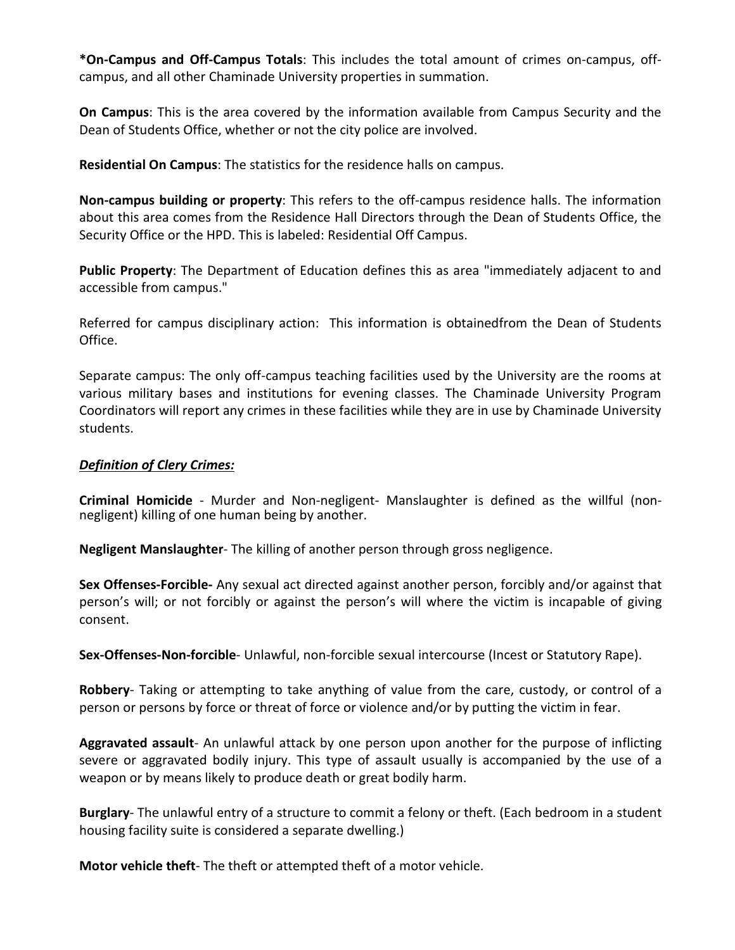**\*On-Campus and Off-Campus Totals**: This includes the total amount of crimes on-campus, offcampus, and all other Chaminade University properties in summation.

**On Campus**: This is the area covered by the information available from Campus Security and the Dean of Students Office, whether or not the city police are involved.

**Residential On Campus**: The statistics for the residence halls on campus.

**Non-campus building or property**: This refers to the off-campus residence halls. The information about this area comes from the Residence Hall Directors through the Dean of Students Office, the Security Office or the HPD. This is labeled: Residential Off Campus.

**Public Property**: The Department of Education defines this as area "immediately adjacent to and accessible from campus."

Referred for campus disciplinary action: This information is obtainedfrom the Dean of Students Office.

Separate campus: The only off-campus teaching facilities used by the University are the rooms at various military bases and institutions for evening classes. The Chaminade University Program Coordinators will report any crimes in these facilities while they are in use by Chaminade University students.

#### *Definition of Clery Crimes:*

**Criminal Homicide** - Murder and Non-negligent- Manslaughter is defined as the willful (nonnegligent) killing of one human being by another.

**Negligent Manslaughter**- The killing of another person through gross negligence.

**Sex Offenses-Forcible-** Any sexual act directed against another person, forcibly and/or against that person's will; or not forcibly or against the person's will where the victim is incapable of giving consent.

**Sex-Offenses-Non-forcible**- Unlawful, non-forcible sexual intercourse (Incest or Statutory Rape).

**Robbery**- Taking or attempting to take anything of value from the care, custody, or control of a person or persons by force or threat of force or violence and/or by putting the victim in fear.

**Aggravated assault**- An unlawful attack by one person upon another for the purpose of inflicting severe or aggravated bodily injury. This type of assault usually is accompanied by the use of a weapon or by means likely to produce death or great bodily harm.

**Burglary**- The unlawful entry of a structure to commit a felony or theft. (Each bedroom in a student housing facility suite is considered a separate dwelling.)

**Motor vehicle theft**- The theft or attempted theft of a motor vehicle.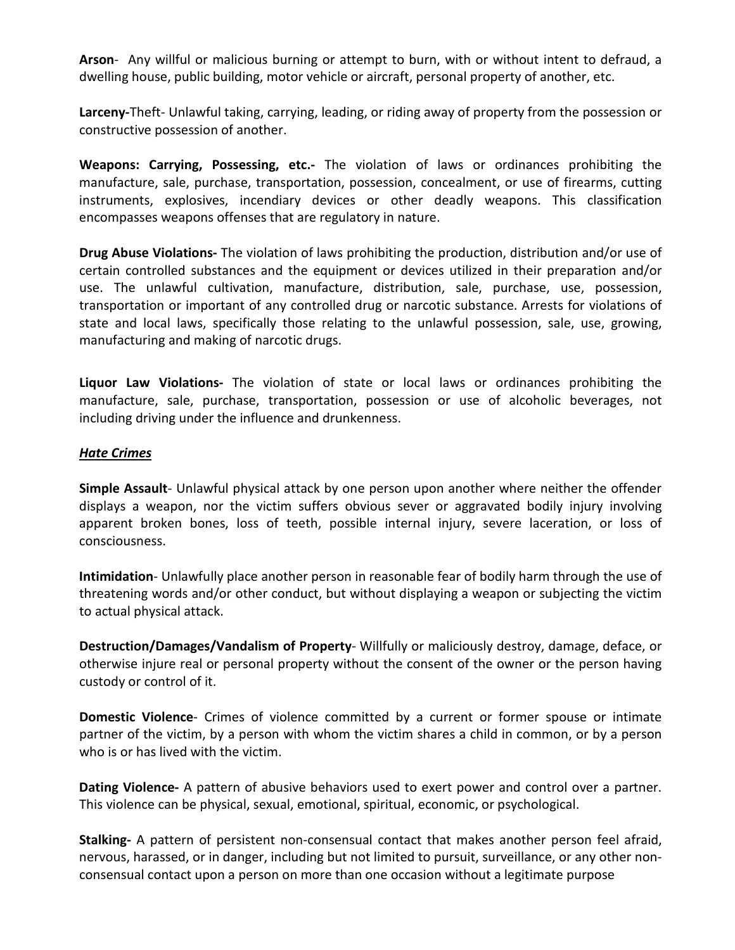**Arson**- Any willful or malicious burning or attempt to burn, with or without intent to defraud, a dwelling house, public building, motor vehicle or aircraft, personal property of another, etc.

**Larceny-**Theft- Unlawful taking, carrying, leading, or riding away of property from the possession or constructive possession of another.

**Weapons: Carrying, Possessing, etc.-** The violation of laws or ordinances prohibiting the manufacture, sale, purchase, transportation, possession, concealment, or use of firearms, cutting instruments, explosives, incendiary devices or other deadly weapons. This classification encompasses weapons offenses that are regulatory in nature.

**Drug Abuse Violations-** The violation of laws prohibiting the production, distribution and/or use of certain controlled substances and the equipment or devices utilized in their preparation and/or use. The unlawful cultivation, manufacture, distribution, sale, purchase, use, possession, transportation or important of any controlled drug or narcotic substance. Arrests for violations of state and local laws, specifically those relating to the unlawful possession, sale, use, growing, manufacturing and making of narcotic drugs.

**Liquor Law Violations-** The violation of state or local laws or ordinances prohibiting the manufacture, sale, purchase, transportation, possession or use of alcoholic beverages, not including driving under the influence and drunkenness.

#### *Hate Crimes*

**Simple Assault**- Unlawful physical attack by one person upon another where neither the offender displays a weapon, nor the victim suffers obvious sever or aggravated bodily injury involving apparent broken bones, loss of teeth, possible internal injury, severe laceration, or loss of consciousness.

**Intimidation**- Unlawfully place another person in reasonable fear of bodily harm through the use of threatening words and/or other conduct, but without displaying a weapon or subjecting the victim to actual physical attack.

**Destruction/Damages/Vandalism of Property**- Willfully or maliciously destroy, damage, deface, or otherwise injure real or personal property without the consent of the owner or the person having custody or control of it.

**Domestic Violence**- Crimes of violence committed by a current or former spouse or intimate partner of the victim, by a person with whom the victim shares a child in common, or by a person who is or has lived with the victim.

**Dating Violence-** A pattern of abusive behaviors used to exert power and control over a partner. This violence can be physical, sexual, emotional, spiritual, economic, or psychological.

**Stalking-** A pattern of persistent non-consensual contact that makes another person feel afraid, nervous, harassed, or in danger, including but not limited to pursuit, surveillance, or any other nonconsensual contact upon a person on more than one occasion without a legitimate purpose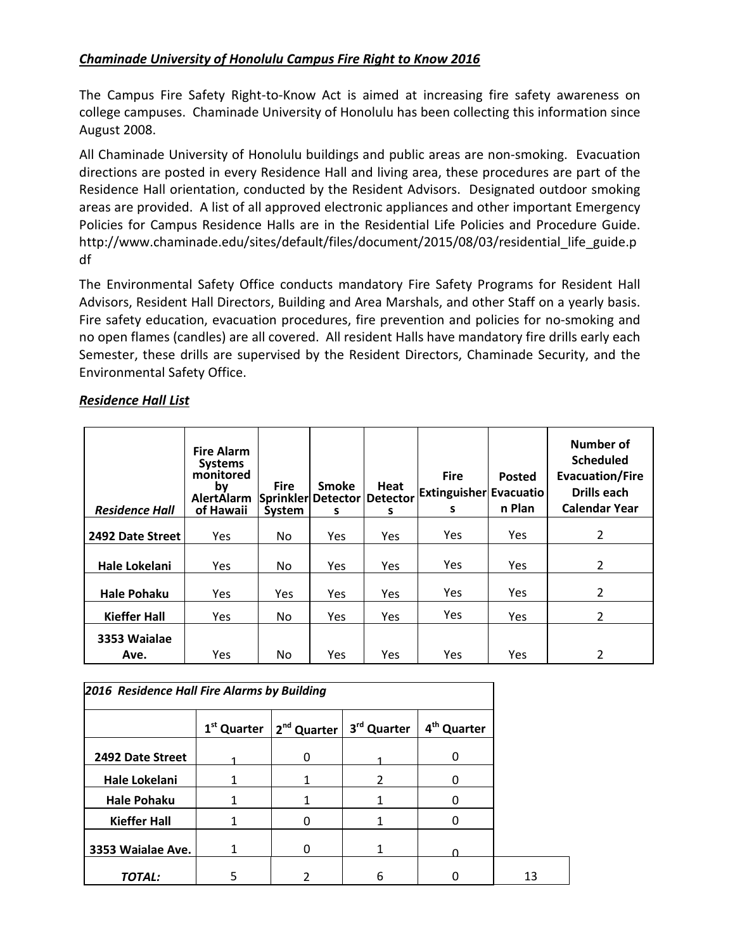# *Chaminade University of Honolulu Campus Fire Right to Know 2016*

The Campus Fire Safety Right-to-Know Act is aimed at increasing fire safety awareness on college campuses. Chaminade University of Honolulu has been collecting this information since August 2008.

All Chaminade University of Honolulu buildings and public areas are non-smoking. Evacuation directions are posted in every Residence Hall and living area, these procedures are part of the Residence Hall orientation, conducted by the Resident Advisors. Designated outdoor smoking areas are provided. A list of all approved electronic appliances and other important Emergency Policies for Campus Residence Halls are in the Residential Life Policies and Procedure Guide. http://www.chaminade.edu/sites/default/files/document/2015/08/03/residential\_life\_guide.p df

The Environmental Safety Office conducts mandatory Fire Safety Programs for Resident Hall Advisors, Resident Hall Directors, Building and Area Marshals, and other Staff on a yearly basis. Fire safety education, evacuation procedures, fire prevention and policies for no-smoking and no open flames (candles) are all covered. All resident Halls have mandatory fire drills early each Semester, these drills are supervised by the Resident Directors, Chaminade Security, and the Environmental Safety Office.

# *Residence Hall List*

| <b>Residence Hall</b> | <b>Fire Alarm</b><br><b>Systems</b><br>monitored<br>by<br>AlertAlarm<br>of Hawaii | <b>Fire</b><br>Sprinkler<br>System | <b>Smoke</b><br>Detector<br>s | Heat<br><b>Detector</b><br>s | <b>Fire</b><br><b>Extinguisher Evacuatio</b><br>s | <b>Posted</b><br>n Plan | Number of<br><b>Scheduled</b><br><b>Evacuation/Fire</b><br>Drills each<br><b>Calendar Year</b> |
|-----------------------|-----------------------------------------------------------------------------------|------------------------------------|-------------------------------|------------------------------|---------------------------------------------------|-------------------------|------------------------------------------------------------------------------------------------|
| 2492 Date Street      | <b>Yes</b>                                                                        | No                                 | Yes                           | Yes                          | <b>Yes</b>                                        | Yes                     | $\overline{2}$                                                                                 |
| Hale Lokelani         | <b>Yes</b>                                                                        | No.                                | <b>Yes</b>                    | <b>Yes</b>                   | <b>Yes</b>                                        | Yes                     | $\overline{2}$                                                                                 |
| <b>Hale Pohaku</b>    | <b>Yes</b>                                                                        | Yes                                | Yes                           | Yes                          | <b>Yes</b>                                        | Yes                     | 2                                                                                              |
| <b>Kieffer Hall</b>   | <b>Yes</b>                                                                        | No                                 | <b>Yes</b>                    | <b>Yes</b>                   | <b>Yes</b>                                        | Yes                     | $\overline{2}$                                                                                 |
| 3353 Waialae          |                                                                                   |                                    |                               |                              |                                                   |                         |                                                                                                |
| Ave.                  | <b>Yes</b>                                                                        | No.                                | Yes                           | Yes                          | Yes                                               | Yes                     | $\overline{2}$                                                                                 |

|                     | 2016 Residence Hall Fire Alarms by Building |                                               |   |                         |  |  |  |  |
|---------------------|---------------------------------------------|-----------------------------------------------|---|-------------------------|--|--|--|--|
|                     |                                             | $1st$ Quarter   $2nd$ Quarter   $3rd$ Quarter |   | 4 <sup>th</sup> Quarter |  |  |  |  |
| 2492 Date Street    |                                             | 0                                             |   | $\Omega$                |  |  |  |  |
| Hale Lokelani       |                                             | 1                                             | 2 |                         |  |  |  |  |
| <b>Hale Pohaku</b>  |                                             |                                               |   |                         |  |  |  |  |
| <b>Kieffer Hall</b> |                                             | 0                                             |   |                         |  |  |  |  |
| 3353 Waialae Ave.   |                                             | 0                                             |   |                         |  |  |  |  |
| TOTAL:              |                                             |                                               | 6 |                         |  |  |  |  |